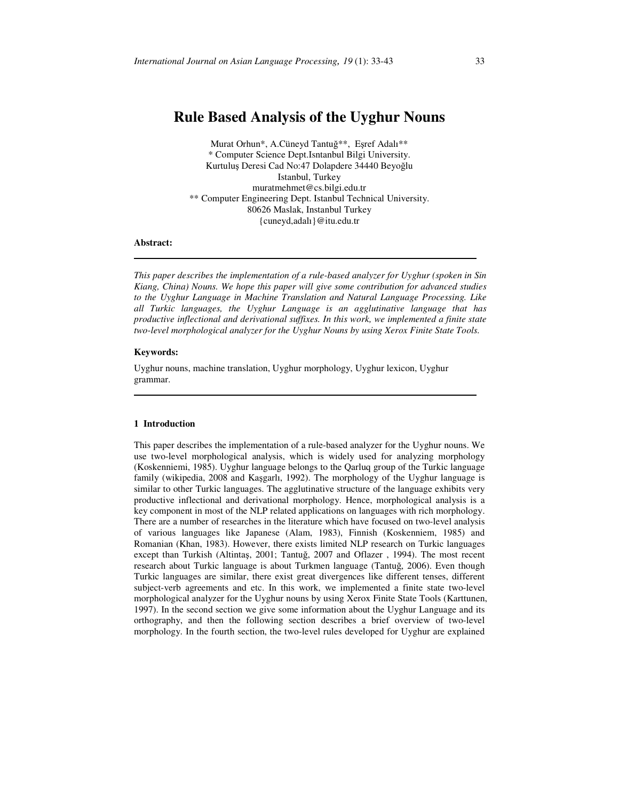# **Rule Based Analysis of the Uyghur Nouns**

Murat Orhun\*, A.Cüneyd Tantuğ\*\*, Eşref Adalı\*\* \* Computer Science Dept.Isntanbul Bilgi University. Kurtuluş Deresi Cad No:47 Dolapdere 34440 Beyoğlu Istanbul, Turkey muratmehmet@cs.bilgi.edu.tr \*\* Computer Engineering Dept. Istanbul Technical University. 80626 Maslak, Instanbul Turkey {cuneyd,adalı}@itu.edu.tr

### **Abstract:**

*This paper describes the implementation of a rule-based analyzer for Uyghur (spoken in Sin Kiang, China) Nouns. We hope this paper will give some contribution for advanced studies to the Uyghur Language in Machine Translation and Natural Language Processing. Like all Turkic languages, the Uyghur Language is an agglutinative language that has productive inflectional and derivational suffixes. In this work, we implemented a finite state two-level morphological analyzer for the Uyghur Nouns by using Xerox Finite State Tools.* 

# **Keywords:**

Uyghur nouns, machine translation, Uyghur morphology, Uyghur lexicon, Uyghur grammar.

#### **1 Introduction**

This paper describes the implementation of a rule-based analyzer for the Uyghur nouns. We use two-level morphological analysis, which is widely used for analyzing morphology (Koskenniemi, 1985). Uyghur language belongs to the Qarluq group of the Turkic language family (wikipedia, 2008 and Kaşgarlı, 1992). The morphology of the Uyghur language is similar to other Turkic languages. The agglutinative structure of the language exhibits very productive inflectional and derivational morphology. Hence, morphological analysis is a key component in most of the NLP related applications on languages with rich morphology. There are a number of researches in the literature which have focused on two-level analysis of various languages like Japanese (Alam, 1983), Finnish (Koskenniem, 1985) and Romanian (Khan, 1983). However, there exists limited NLP research on Turkic languages except than Turkish (Altintaş, 2001; Tantuğ, 2007 and Oflazer , 1994). The most recent research about Turkic language is about Turkmen language (Tantuğ, 2006). Even though Turkic languages are similar, there exist great divergences like different tenses, different subject-verb agreements and etc. In this work, we implemented a finite state two-level morphological analyzer for the Uyghur nouns by using Xerox Finite State Tools (Karttunen, 1997). In the second section we give some information about the Uyghur Language and its orthography, and then the following section describes a brief overview of two-level morphology. In the fourth section, the two-level rules developed for Uyghur are explained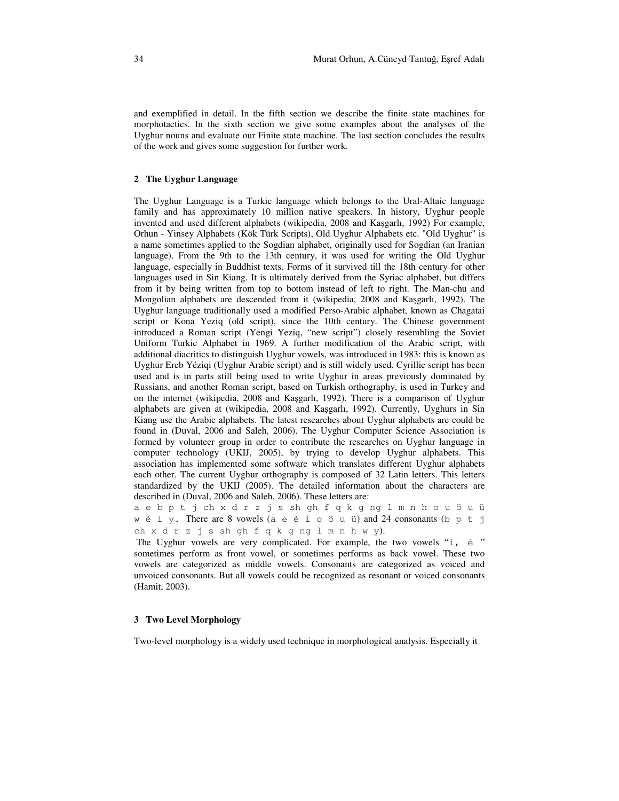and exemplified in detail. In the fifth section we describe the finite state machines for morphotactics. In the sixth section we give some examples about the analyses of the Uyghur nouns and evaluate our Finite state machine. The last section concludes the results of the work and gives some suggestion for further work.

# **2 The Uyghur Language**

The Uyghur Language is a Turkic language which belongs to the Ural-Altaic language family and has approximately 10 million native speakers. In history, Uyghur people invented and used different alphabets (wikipedia, 2008 and Kaşgarlı, 1992) For example, Orhun - Yinsey Alphabets (Kök Türk Scripts), Old Uyghur Alphabets etc. "Old Uyghur" is a name sometimes applied to the Sogdian alphabet, originally used for Sogdian (an Iranian language). From the 9th to the 13th century, it was used for writing the Old Uyghur language, especially in Buddhist texts. Forms of it survived till the 18th century for other languages used in Sin Kiang. It is ultimately derived from the Syriac alphabet, but differs from it by being written from top to bottom instead of left to right. The Man-chu and Mongolian alphabets are descended from it (wikipedia, 2008 and Kaşgarlı, 1992). The Uyghur language traditionally used a modified Perso-Arabic alphabet, known as Chagatai script or Kona Yeziq (old script), since the 10th century. The Chinese government introduced a Roman script (Yengi Yeziq, "new script") closely resembling the Soviet Uniform Turkic Alphabet in 1969. A further modification of the Arabic script, with additional diacritics to distinguish Uyghur vowels, was introduced in 1983: this is known as Uyghur Ereb Yéziqi (Uyghur Arabic script) and is still widely used. Cyrillic script has been used and is in parts still being used to write Uyghur in areas previously dominated by Russians, and another Roman script, based on Turkish orthography, is used in Turkey and on the internet (wikipedia, 2008 and Kaşgarlı, 1992). There is a comparison of Uyghur alphabets are given at (wikipedia, 2008 and Kaşgarlı, 1992). Currently, Uyghurs in Sin Kiang use the Arabic alphabets. The latest researches about Uyghur alphabets are could be found in (Duval, 2006 and Saleh, 2006). The Uyghur Computer Science Association is formed by volunteer group in order to contribute the researches on Uyghur language in computer technology (UKIJ, 2005), by trying to develop Uyghur alphabets. This association has implemented some software which translates different Uyghur alphabets each other. The current Uyghur orthography is composed of 32 Latin letters. This letters standardized by the UKIJ (2005). The detailed information about the characters are described in (Duval, 2006 and Saleh, 2006). These letters are:

a e b p t j ch x d r z j s sh gh f q k g ng l m n h o u ö u ü w ė i y. There are 8 vowels (a e ė i o ö u ü) and 24 consonants (b p t j ch x d r z j s sh gh f q k g ng l m n h w y).

The Uyghur vowels are very complicated. For example, the two vowels "i,  $\dot{e}$ " sometimes perform as front vowel, or sometimes performs as back vowel. These two vowels are categorized as middle vowels. Consonants are categorized as voiced and unvoiced consonants. But all vowels could be recognized as resonant or voiced consonants (Hamit, 2003).

# **3 Two Level Morphology**

Two-level morphology is a widely used technique in morphological analysis. Especially it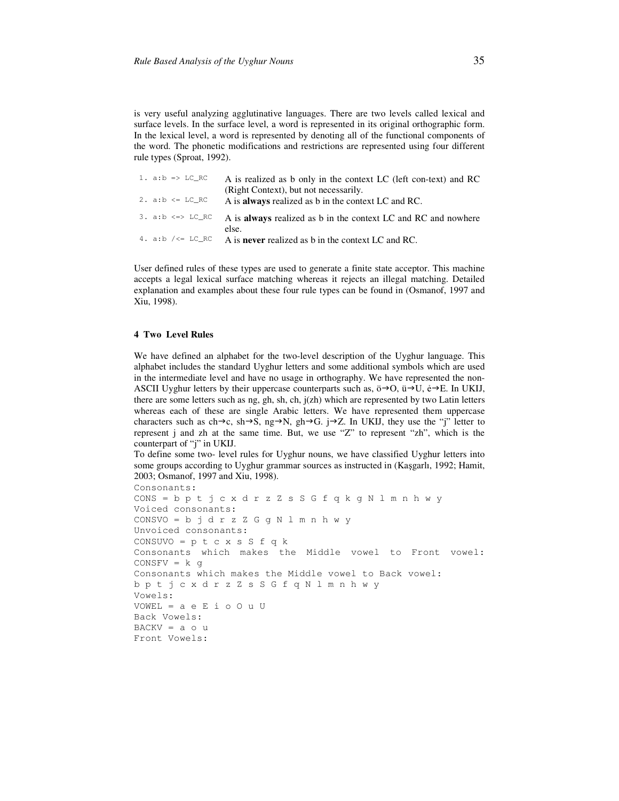is very useful analyzing agglutinative languages. There are two levels called lexical and surface levels. In the surface level, a word is represented in its original orthographic form. In the lexical level, a word is represented by denoting all of the functional components of the word. The phonetic modifications and restrictions are represented using four different rule types (Sproat, 1992).

| 1. $a:b \Rightarrow LC RC$ | A is realized as b only in the context LC (left con-text) and RC                                    |
|----------------------------|-----------------------------------------------------------------------------------------------------|
| 2. $a:b \leq LCRC$         | (Right Context), but not necessarily.<br>A is <b>always</b> realized as b in the context LC and RC. |
|                            |                                                                                                     |
| $3. a:b \iff LCR$          | A is <b>always</b> realized as b in the context LC and RC and nowhere                               |
|                            | else.                                                                                               |
| 4. a:b /<= LC RC           | A is <b>never</b> realized as b in the context LC and RC.                                           |

User defined rules of these types are used to generate a finite state acceptor. This machine accepts a legal lexical surface matching whereas it rejects an illegal matching. Detailed explanation and examples about these four rule types can be found in (Osmanof, 1997 and Xiu, 1998).

# **4 Two Level Rules**

We have defined an alphabet for the two-level description of the Uyghur language. This alphabet includes the standard Uyghur letters and some additional symbols which are used in the intermediate level and have no usage in orthography. We have represented the non-ASCII Uyghur letters by their uppercase counterparts such as,  $\ddot{o} \rightarrow O$ ,  $\ddot{u} \rightarrow U$ ,  $\dot{e} \rightarrow E$ . In UKIJ, there are some letters such as ng, gh, sh, ch, j(zh) which are represented by two Latin letters whereas each of these are single Arabic letters. We have represented them uppercase characters such as ch $\rightarrow$ c, sh $\rightarrow$ S, ng $\rightarrow$ N, gh $\rightarrow$ G. j $\rightarrow$ Z. In UKIJ, they use the "j" letter to represent j and zh at the same time. But, we use "Z" to represent "zh", which is the counterpart of "j" in UKIJ.

To define some two- level rules for Uyghur nouns, we have classified Uyghur letters into some groups according to Uyghur grammar sources as instructed in (Kaşgarlı, 1992; Hamit, 2003; Osmanof, 1997 and Xiu, 1998).

```
Consonants: 
CONS = b p t j c x d r z Z s S G f q k g N l m n h w y 
Voiced consonants: 
CONSVO = b j d r z Z G g N l m n h w y 
Unvoiced consonants: 
CONSUVO = p t c x s S f q kConsonants which makes the Middle vowel to Front vowel: 
CONFV = k gConsonants which makes the Middle vowel to Back vowel: 
b p t j c x d r z Z s S G f q N l m n h w y 
Vowels: 
VOWEL = a e E i o O u U 
Back Vowels: 
BACKV = a o uFront Vowels:
```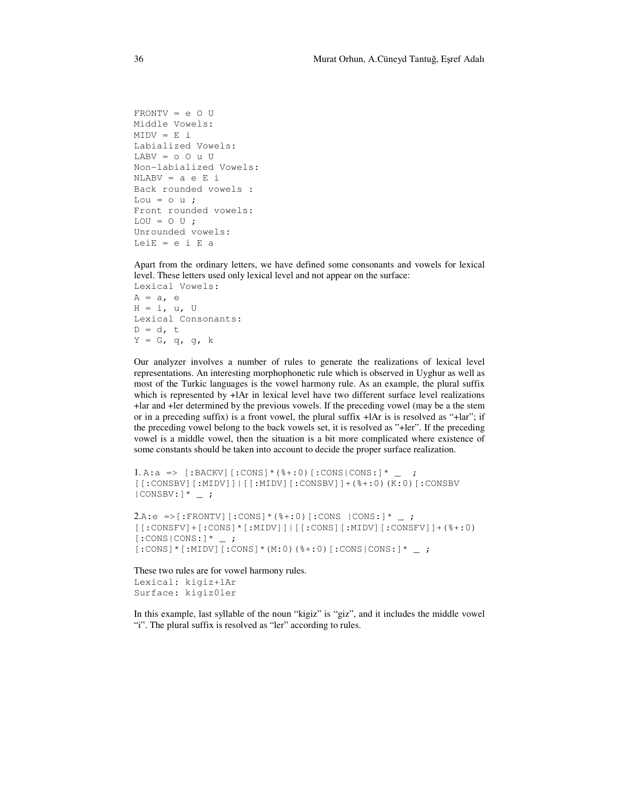```
FRONTV = e O U 
Middle Vowels: 
MIDV = E iLabialized Vowels: 
LABV = 0 O u U
Non-labialized Vowels: 
NLABV = a e E i 
Back rounded vowels : 
Lou = \circ u;
Front rounded vowels: 
LOU = 0 U;Unrounded vowels: 
LeiE = e i E a
```
Apart from the ordinary letters, we have defined some consonants and vowels for lexical level. These letters used only lexical level and not appear on the surface: Lexical Vowels:  $A = a$ , e

 $H = i, u, U$ Lexical Consonants:  $D = d, t$  $Y = G$ , q, g, k

Our analyzer involves a number of rules to generate the realizations of lexical level representations. An interesting morphophonetic rule which is observed in Uyghur as well as most of the Turkic languages is the vowel harmony rule. As an example, the plural suffix which is represented by +lAr in lexical level have two different surface level realizations +lar and +ler determined by the previous vowels. If the preceding vowel (may be a the stem or in a preceding suffix) is a front vowel, the plural suffix +lAr is is resolved as "+lar"; if the preceding vowel belong to the back vowels set, it is resolved as "+ler". If the preceding vowel is a middle vowel, then the situation is a bit more complicated where existence of some constants should be taken into account to decide the proper surface realization.

```
1. A: a \implies [:BACKV] [:CONS] * (%+:0) [:CONS|CONS:] * _ ;
[[:CONSBV][:MIDV]]|[[:MIDV][:CONSBV]]+(%+:0)(K:0)[:CONSBV 
| CONSBV: ] * \_ ;
```

```
2.A: e \Rightarrow [:FRONTV] [:CONS] * (%+:0) [:CONS | CONS:] * _;
[[:CONSFV]+[:CONS]*[:MIDV]]|[[:CONS][:MIDV][:CONSFV]]+(%+:0) 
[:cons|cons:]* ;
[:CONF] *[:MIDV][:CONS]*(M:0)(%+:0)[:CONS|CONS:]* _;
```
These two rules are for vowel harmony rules. Lexical: kigiz+lAr Surface: kigiz0ler

In this example, last syllable of the noun "kigiz" is "giz", and it includes the middle vowel "i". The plural suffix is resolved as "ler" according to rules.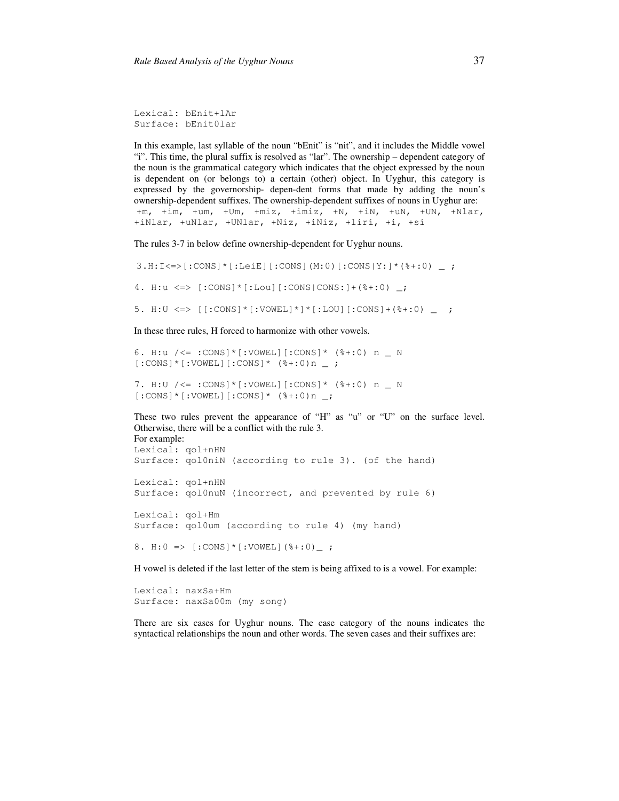Lexical: bEnit+lAr Surface: bEnit0lar

In this example, last syllable of the noun "bEnit" is "nit", and it includes the Middle vowel "i". This time, the plural suffix is resolved as "lar". The ownership – dependent category of the noun is the grammatical category which indicates that the object expressed by the noun is dependent on (or belongs to) a certain (other) object. In Uyghur, this category is expressed by the governorship- depen-dent forms that made by adding the noun's ownership-dependent suffixes. The ownership-dependent suffixes of nouns in Uyghur are: +m, +im, +um, +Um, +miz, +imiz, +N, +iN, +uN, +UN, +Nlar, +iNlar, +uNlar, +UNlar, +Niz, +iNiz, +liri, +i, +si

The rules 3-7 in below define ownership-dependent for Uyghur nouns.

```
3.H:I<=>[:CONS]*[:LeiE][:CONS](M:0)[:CONS|Y:]*(%+:0) _ ; 
4. H:u <=> [:CONS]*[:Lou][:CONS|CONS:]+(%+:0) _; 
5. H:U <=> [[:CONS]*[:VOWEL]*]*[:LOU][:CONS]+(%+:0) _ ;
```
In these three rules, H forced to harmonize with other vowels.

```
6. H:u \angle <= :CONS] * [:VOWEL] [:CONS] * (%+:0) n _ N
[:CONF] *[:VOWEL][:Cons] * (*:0) n ;
```

```
7. H:U /<= :CONS]*[:VOWEL][:CONS]* (%+:0) n _ N 
[:cons] *[:VOWEL][:cons] * (*:0) n;
```
These two rules prevent the appearance of "H" as "u" or "U" on the surface level. Otherwise, there will be a conflict with the rule 3. For example:

Lexical: qol+nHN Surface: qol0niN (according to rule 3). (of the hand) Lexical: qol+nHN Surface: qol0nuN (incorrect, and prevented by rule 6) Lexical: qol+Hm Surface: qol0um (according to rule 4) (my hand) 8. H:0 => [:CONS]\*[:VOWEL](%+:0)\_ ;

H vowel is deleted if the last letter of the stem is being affixed to is a vowel. For example:

Lexical: naxSa+Hm Surface: naxSa00m (my song)

There are six cases for Uyghur nouns. The case category of the nouns indicates the syntactical relationships the noun and other words. The seven cases and their suffixes are: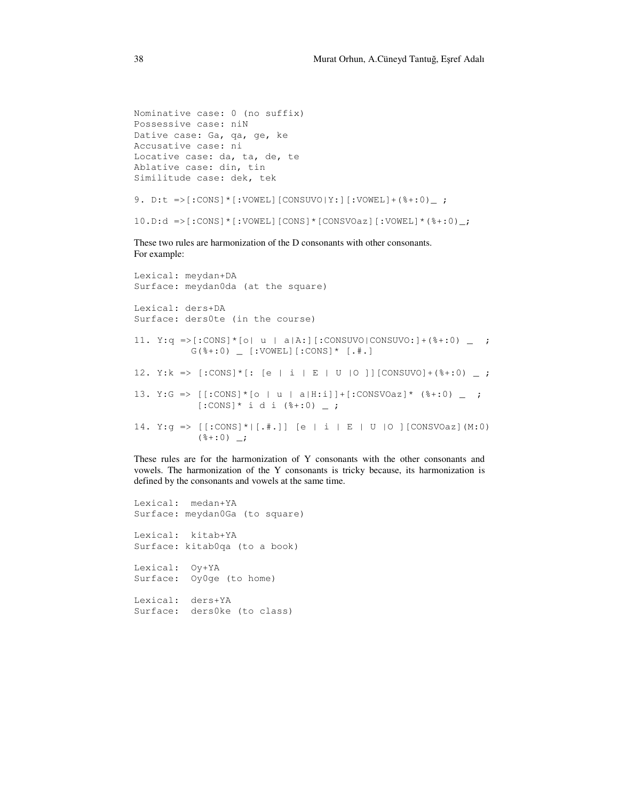```
Nominative case: 0 (no suffix) 
Possessive case: niN 
Dative case: Ga, qa, ge, ke 
Accusative case: ni 
Locative case: da, ta, de, te 
Ablative case: din, tin 
Similitude case: dek, tek 
9. D:t =>[:CONS]*[:VOWEL][CONSUVO|Y:][:VOWEL]+(%+:0)_ ; 
10.D:d \Rightarrow[:CONS]*[:VOWEL][CONS]*[CONSVOaz][:VOWEL]*(%+:0)_;
```
These two rules are harmonization of the D consonants with other consonants. For example:

```
Lexical: meydan+DA 
Surface: meydan0da (at the square) 
Lexical: ders+DA 
Surface: ders0te (in the course) 
11. Y:q = [:CONS] * [o| u | a|A:] [:CONSUVO|CONSUVO:]+(%+:0) _;
           G(%+:0) _ [:VOWEL][:CONS]* [.#.] 
12. Y:k => [:CONF] *[: [e | i | E | U | 0 ]] [CONSUV0] + (*:0) ;
13. Y:G => [[:CONS]*[o | u | a|H:i]]+[:CONSVOaz]* (%+:0) _ ; 
           [:CONF] * i d i (* + : 0) _ = ;14. Y:g => [[:cons] * | [.+,]) [e | i | E | U |O ][CONSVOaz](M:0)
           (*:0) ;
```
These rules are for the harmonization of Y consonants with the other consonants and vowels. The harmonization of the Y consonants is tricky because, its harmonization is defined by the consonants and vowels at the same time.

Lexical: medan+YA Surface: meydan0Ga (to square) Lexical: kitab+YA Surface: kitab0qa (to a book) Lexical: Oy+YA Surface: Oy0ge (to home) Lexical: ders+YA Surface: ders0ke (to class)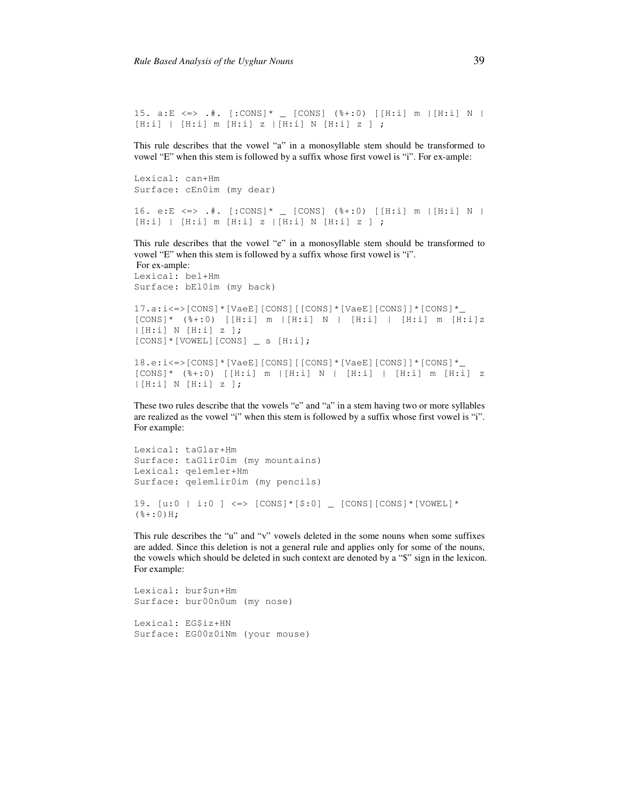15. a:E <=> .#.  $[:cons] * _ [cons]$   $($ %+:0)  $[H:i]$  m  $|[H:i]$  N  $|$  $[H: i] | [H: i] m [H: i] z | [H: i] N [H: i] z ]$ 

This rule describes that the vowel "a" in a monosyllable stem should be transformed to vowel "E" when this stem is followed by a suffix whose first vowel is "i". For ex-ample:

Lexical: can+Hm Surface: cEn0im (my dear)

```
16. e:E <=> .#. [:CONS]* _ [CONS] (%+:0) [[H:i] m |[H:i] N | 
[H:i] | [H:i] m [H:i] z |[H:i] N [H:i] z ] ;
```
This rule describes that the vowel "e" in a monosyllable stem should be transformed to vowel "E" when this stem is followed by a suffix whose first vowel is "i".

 For ex-ample: Lexical: bel+Hm Surface: bEl0im (my back)

```
17.a:i<=>[CONS]*[VaeE][CONS][[CONS]*[VaeE][CONS]]*[CONS]*_ 
[CONS] * ( (*) ( () [ H: ] m [ H: ] N | [ H: ] ] [ H: ] ] m [ H: ] ] [|[H:i] N [H:i] z ]; 
[CONS]*[VOWEL][CONS] _ s [H:i];
```

```
18.e:i<=>[CONS]*[VaeE][CONS][[CONS]*[VaeE][CONS]]*[CONS]*_ 
[CONS] * (8+:0) [H:i] m [H:i] N [H:i] [H:i] m [H:i] z
|[H:i] N [H:i] z ];
```
These two rules describe that the vowels "e" and "a" in a stem having two or more syllables are realized as the vowel "i" when this stem is followed by a suffix whose first vowel is "i". For example:

```
Lexical: taGlar+Hm 
Surface: taGlir0im (my mountains) 
Lexical: qelemler+Hm 
Surface: qelemlir0im (my pencils) 
19. [u:0 \mid i:0] \iff [cons] * [§:0] \quad [cons] (cons] * [VOWEL] *(*+:0) H;
```
This rule describes the "u" and "v" vowels deleted in the some nouns when some suffixes are added. Since this deletion is not a general rule and applies only for some of the nouns, the vowels which should be deleted in such context are denoted by a "\$" sign in the lexicon. For example:

```
Lexical: bur$un+Hm 
Surface: bur00n0um (my nose) 
Lexical: EG$iz+HN 
Surface: EG00z0iNm (your mouse)
```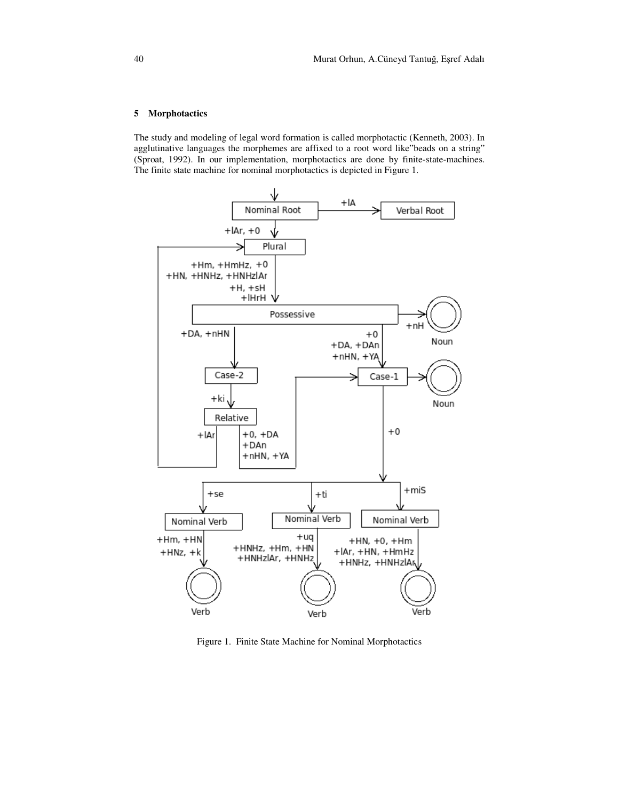### **5 Morphotactics**

The study and modeling of legal word formation is called morphotactic (Kenneth, 2003). In agglutinative languages the morphemes are affixed to a root word like"beads on a string" (Sproat, 1992). In our implementation, morphotactics are done by finite-state-machines. The finite state machine for nominal morphotactics is depicted in Figure 1.



Figure 1. Finite State Machine for Nominal Morphotactics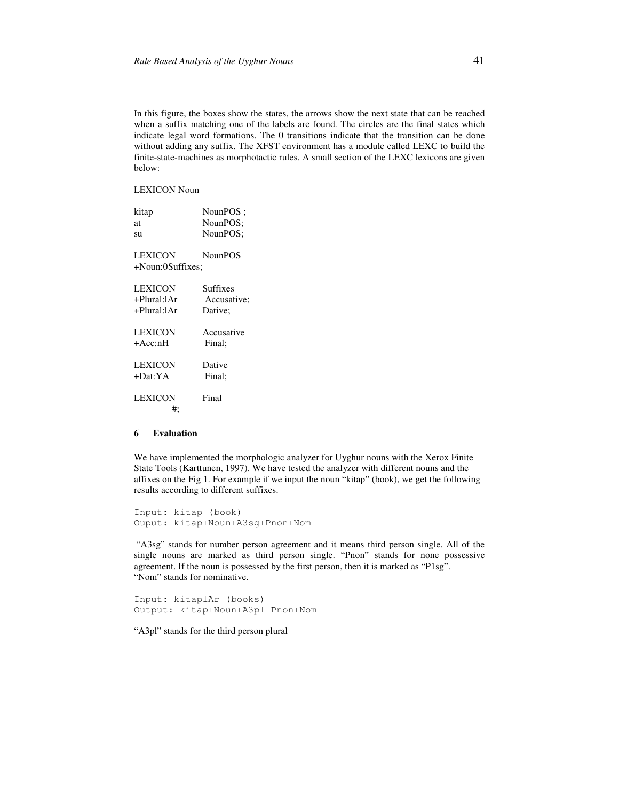In this figure, the boxes show the states, the arrows show the next state that can be reached when a suffix matching one of the labels are found. The circles are the final states which indicate legal word formations. The 0 transitions indicate that the transition can be done without adding any suffix. The XFST environment has a module called LEXC to build the finite-state-machines as morphotactic rules. A small section of the LEXC lexicons are given below:

LEXICON Noun

| kitap            | NounPOS:       |
|------------------|----------------|
| at               | NounPOS:       |
| su               | NounPOS:       |
|                  |                |
| LEXICON          | <b>NounPOS</b> |
| +Noun:0Suffixes; |                |
|                  |                |
| LEXICON          | Suffixes       |
| +Plural:lAr      | Accusative:    |
| +Plural:lAr      | Dative;        |
|                  |                |
| LEXICON          | Accusative     |
| +Acc:nH          | Final:         |
|                  |                |
| LEXICON          | Dative         |
| +Dat:YA          | Final:         |
|                  |                |
| LEXICON          | Final          |
| #:               |                |
|                  |                |

# **6 Evaluation**

We have implemented the morphologic analyzer for Uyghur nouns with the Xerox Finite State Tools (Karttunen, 1997). We have tested the analyzer with different nouns and the affixes on the Fig 1. For example if we input the noun "kitap" (book), we get the following results according to different suffixes.

Input: kitap (book) Ouput: kitap+Noun+A3sg+Pnon+Nom

 "A3sg" stands for number person agreement and it means third person single. All of the single nouns are marked as third person single. "Pnon" stands for none possessive agreement. If the noun is possessed by the first person, then it is marked as "P1sg". "Nom" stands for nominative.

Input: kitaplAr (books) Output: kitap+Noun+A3pl+Pnon+Nom

"A3pl" stands for the third person plural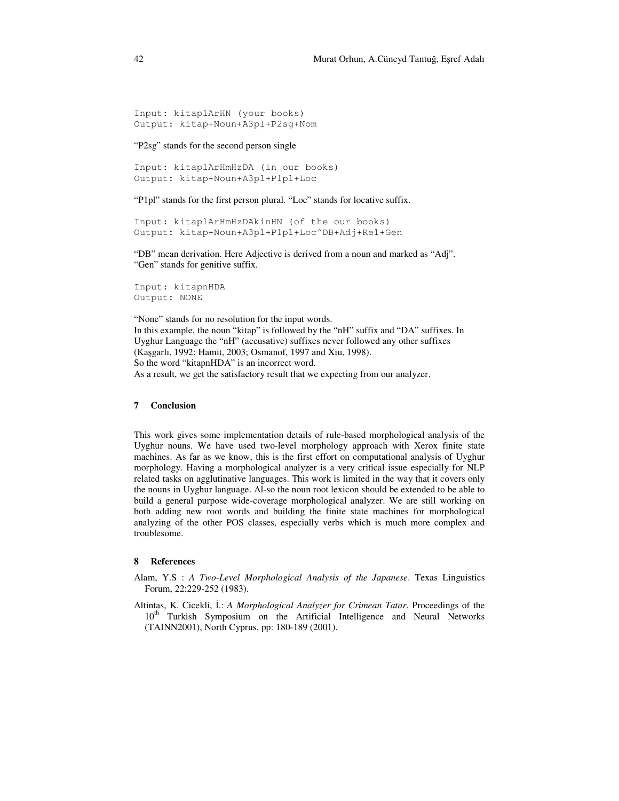```
Input: kitaplArHN (your books) 
Output: kitap+Noun+A3pl+P2sg+Nom
```
"P2sg" stands for the second person single

```
Input: kitaplArHmHzDA (in our books) 
Output: kitap+Noun+A3pl+P1pl+Loc
```
"P1pl" stands for the first person plural. "Loc" stands for locative suffix.

```
Input: kitaplArHmHzDAkinHN (of the our books) 
Output: kitap+Noun+A3pl+P1pl+Loc^DB+Adj+Rel+Gen
```
"DB" mean derivation. Here Adjective is derived from a noun and marked as "Adj". "Gen" stands for genitive suffix.

```
Input: kitapnHDA 
Output: NONE
```
"None" stands for no resolution for the input words. In this example, the noun "kitap" is followed by the "nH" suffix and "DA" suffixes. In Uyghur Language the "nH" (accusative) suffixes never followed any other suffixes (Kaşgarlı, 1992; Hamit, 2003; Osmanof, 1997 and Xiu, 1998). So the word "kitapnHDA" is an incorrect word. As a result, we get the satisfactory result that we expecting from our analyzer.

# **7 Conclusion**

This work gives some implementation details of rule-based morphological analysis of the Uyghur nouns. We have used two-level morphology approach with Xerox finite state machines. As far as we know, this is the first effort on computational analysis of Uyghur morphology. Having a morphological analyzer is a very critical issue especially for NLP related tasks on agglutinative languages. This work is limited in the way that it covers only the nouns in Uyghur language. Al-so the noun root lexicon should be extended to be able to build a general purpose wide-coverage morphological analyzer. We are still working on both adding new root words and building the finite state machines for morphological analyzing of the other POS classes, especially verbs which is much more complex and troublesome.

# **8 References**

- Alam, Y.S : *A Two-Level Morphological Analysis of the Japanese*. Texas Linguistics Forum, 22:229-252 (1983).
- Altintas, K. Cicekli, İ.: *A Morphological Analyzer for Crimean Tatar*. Proceedings of the 10<sup>th</sup> Turkish Symposium on the Artificial Intelligence and Neural Networks (TAINN2001), North Cyprus, pp: 180-189 (2001).